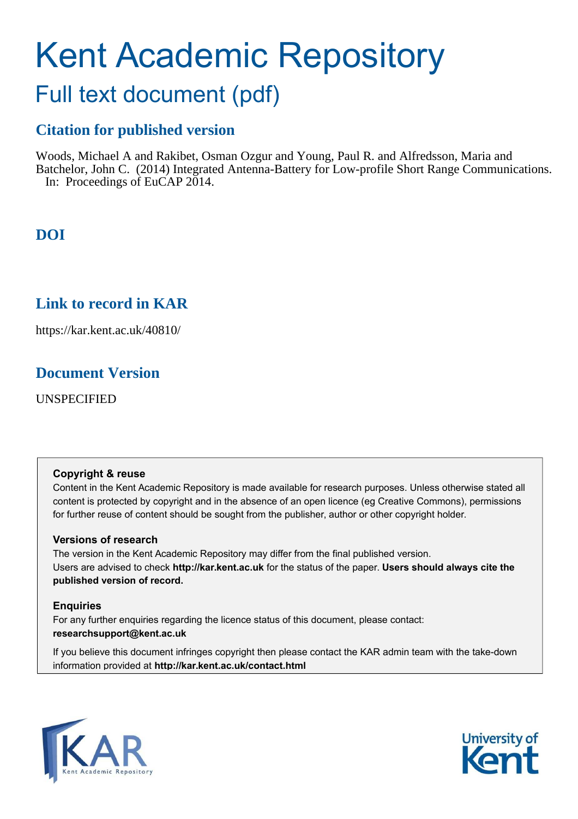# Kent Academic Repository

# Full text document (pdf)

## **Citation for published version**

Woods, Michael A and Rakibet, Osman Ozgur and Young, Paul R. and Alfredsson, Maria and Batchelor, John C. (2014) Integrated Antenna-Battery for Low-profile Short Range Communications. In: Proceedings of EuCAP 2014.

# **DOI**

## **Link to record in KAR**

https://kar.kent.ac.uk/40810/

## **Document Version**

UNSPECIFIED

#### **Copyright & reuse**

Content in the Kent Academic Repository is made available for research purposes. Unless otherwise stated all content is protected by copyright and in the absence of an open licence (eg Creative Commons), permissions for further reuse of content should be sought from the publisher, author or other copyright holder.

#### **Versions of research**

The version in the Kent Academic Repository may differ from the final published version. Users are advised to check **http://kar.kent.ac.uk** for the status of the paper. **Users should always cite the published version of record.**

#### **Enquiries**

For any further enquiries regarding the licence status of this document, please contact: **researchsupport@kent.ac.uk**

If you believe this document infringes copyright then please contact the KAR admin team with the take-down information provided at **http://kar.kent.ac.uk/contact.html**



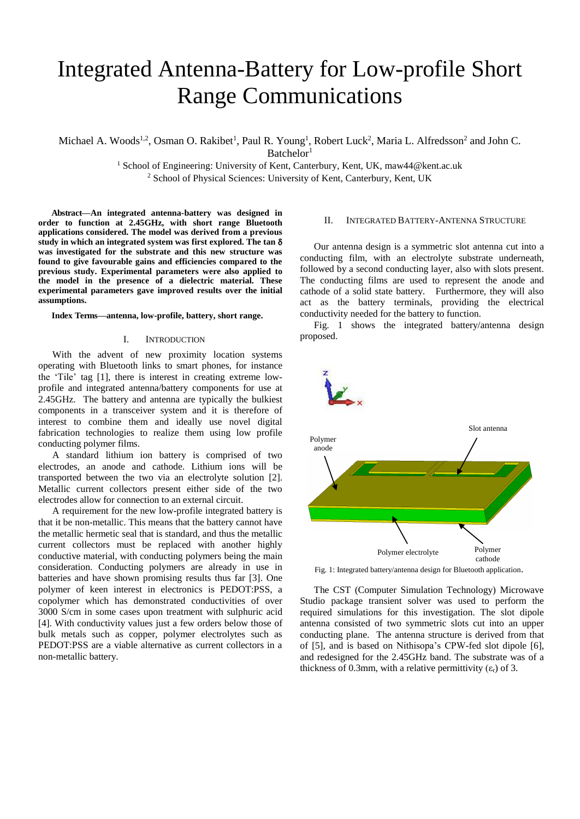# Integrated Antenna-Battery for Low-profile Short Range Communications

Michael A. Woods<sup>1,2</sup>, Osman O. Rakibet<sup>1</sup>, Paul R. Young<sup>1</sup>, Robert Luck<sup>2</sup>, Maria L. Alfredsson<sup>2</sup> and John C.  $B$ atchelor<sup>1</sup>

> <sup>1</sup> School of Engineering: University of Kent, Canterbury, Kent, UK, maw44@kent.ac.uk <sup>2</sup> School of Physical Sciences: University of Kent, Canterbury, Kent, UK

**Abstract—An integrated antenna-battery was designed in order to function at 2.45GHz, with short range Bluetooth applications considered. The model was derived from a previous study in which an integrated system was first explored. The tan was investigated for the substrate and this new structure was found to give favourable gains and efficiencies compared to the previous study. Experimental parameters were also applied to the model in the presence of a dielectric material. These experimental parameters gave improved results over the initial assumptions.** 

**Index Terms***—***antenna, low-profile, battery, short range.** 

#### I. INTRODUCTION

With the advent of new proximity location systems operating with Bluetooth links to smart phones, for instance the 'Tile' tag [1], there is interest in creating extreme lowprofile and integrated antenna/battery components for use at 2.45GHz. The battery and antenna are typically the bulkiest components in a transceiver system and it is therefore of interest to combine them and ideally use novel digital fabrication technologies to realize them using low profile conducting polymer films.

A standard lithium ion battery is comprised of two electrodes, an anode and cathode. Lithium ions will be transported between the two via an electrolyte solution [2]. Metallic current collectors present either side of the two electrodes allow for connection to an external circuit.

A requirement for the new low-profile integrated battery is that it be non-metallic. This means that the battery cannot have the metallic hermetic seal that is standard, and thus the metallic current collectors must be replaced with another highly conductive material, with conducting polymers being the main consideration. Conducting polymers are already in use in batteries and have shown promising results thus far [3]. One polymer of keen interest in electronics is PEDOT:PSS, a copolymer which has demonstrated conductivities of over 3000 S/cm in some cases upon treatment with sulphuric acid [4]. With conductivity values just a few orders below those of bulk metals such as copper, polymer electrolytes such as PEDOT:PSS are a viable alternative as current collectors in a non-metallic battery.

#### II. INTEGRATED BATTERY-ANTENNA STRUCTURE

Our antenna design is a symmetric slot antenna cut into a conducting film, with an electrolyte substrate underneath, followed by a second conducting layer, also with slots present. The conducting films are used to represent the anode and cathode of a solid state battery. Furthermore, they will also act as the battery terminals, providing the electrical conductivity needed for the battery to function.

Fig. 1 shows the integrated battery/antenna design proposed.



Fig. 1: Integrated battery/antenna design for Bluetooth application.

The CST (Computer Simulation Technology) Microwave Studio package transient solver was used to perform the required simulations for this investigation. The slot dipole antenna consisted of two symmetric slots cut into an upper conducting plane. The antenna structure is derived from that of [5], and is based on Nithisopa's CPW-fed slot dipole [6], and redesigned for the 2.45GHz band. The substrate was of a thickness of 0.3mm, with a relative permittivity  $(\epsilon_{r})$  of 3.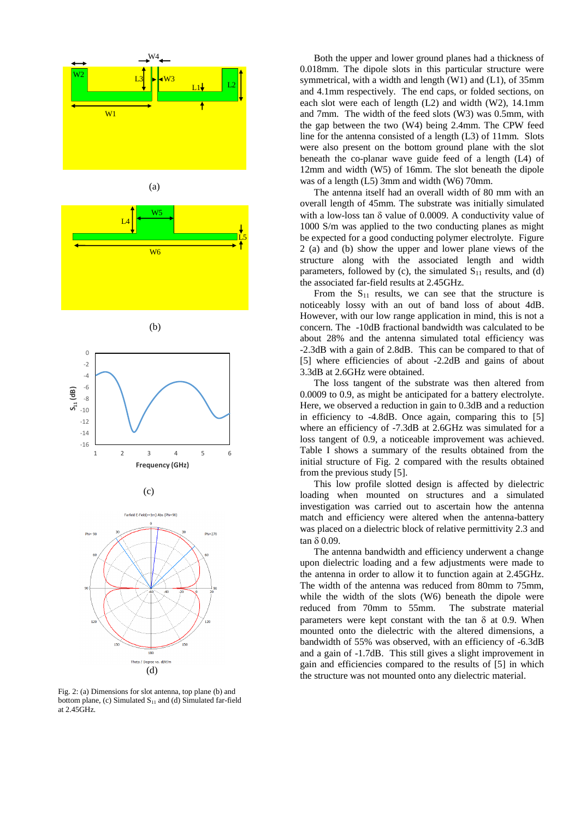

Fig. 2: (a) Dimensions for slot antenna, top plane (b) and bottom plane, (c) Simulated  $S<sub>11</sub>$  and (d) Simulated far-field at 2.45GHz.

 Both the upper and lower ground planes had a thickness of 0.018mm. The dipole slots in this particular structure were symmetrical, with a width and length (W1) and (L1), of 35mm and 4.1mm respectively. The end caps, or folded sections, on each slot were each of length (L2) and width (W2), 14.1mm and 7mm. The width of the feed slots (W3) was 0.5mm, with the gap between the two (W4) being 2.4mm. The CPW feed line for the antenna consisted of a length (L3) of 11mm. Slots were also present on the bottom ground plane with the slot beneath the co-planar wave guide feed of a length (L4) of 12mm and width (W5) of 16mm. The slot beneath the dipole was of a length (L5) 3mm and width (W6) 70mm.

 The antenna itself had an overall width of 80 mm with an overall length of 45mm. The substrate was initially simulated with a low-loss tan  $\delta$  value of 0.0009. A conductivity value of 1000 S/m was applied to the two conducting planes as might be expected for a good conducting polymer electrolyte. Figure 2 (a) and (b) show the upper and lower plane views of the structure along with the associated length and width parameters, followed by (c), the simulated  $S<sub>11</sub>$  results, and (d) the associated far-field results at 2.45GHz.

From the  $S_{11}$  results, we can see that the structure is noticeably lossy with an out of band loss of about 4dB. However, with our low range application in mind, this is not a concern. The -10dB fractional bandwidth was calculated to be about 28% and the antenna simulated total efficiency was -2.3dB with a gain of 2.8dB. This can be compared to that of [5] where efficiencies of about -2.2dB and gains of about 3.3dB at 2.6GHz were obtained.

The loss tangent of the substrate was then altered from 0.0009 to 0.9, as might be anticipated for a battery electrolyte. Here, we observed a reduction in gain to 0.3dB and a reduction in efficiency to -4.8dB. Once again, comparing this to [5] where an efficiency of -7.3dB at 2.6GHz was simulated for a loss tangent of 0.9, a noticeable improvement was achieved. Table I shows a summary of the results obtained from the initial structure of Fig. 2 compared with the results obtained from the previous study [5].

 This low profile slotted design is affected by dielectric loading when mounted on structures and a simulated investigation was carried out to ascertain how the antenna match and efficiency were altered when the antenna-battery was placed on a dielectric block of relative permittivity 2.3 and  $\tan \delta 0.09$ .

The antenna bandwidth and efficiency underwent a change upon dielectric loading and a few adjustments were made to the antenna in order to allow it to function again at 2.45GHz. The width of the antenna was reduced from 80mm to 75mm, while the width of the slots (W6) beneath the dipole were reduced from 70mm to 55mm. The substrate material parameters were kept constant with the tan  $\delta$  at 0.9. When mounted onto the dielectric with the altered dimensions, a bandwidth of 55% was observed, with an efficiency of -6.3dB and a gain of -1.7dB. This still gives a slight improvement in gain and efficiencies compared to the results of [5] in which the structure was not mounted onto any dielectric material.